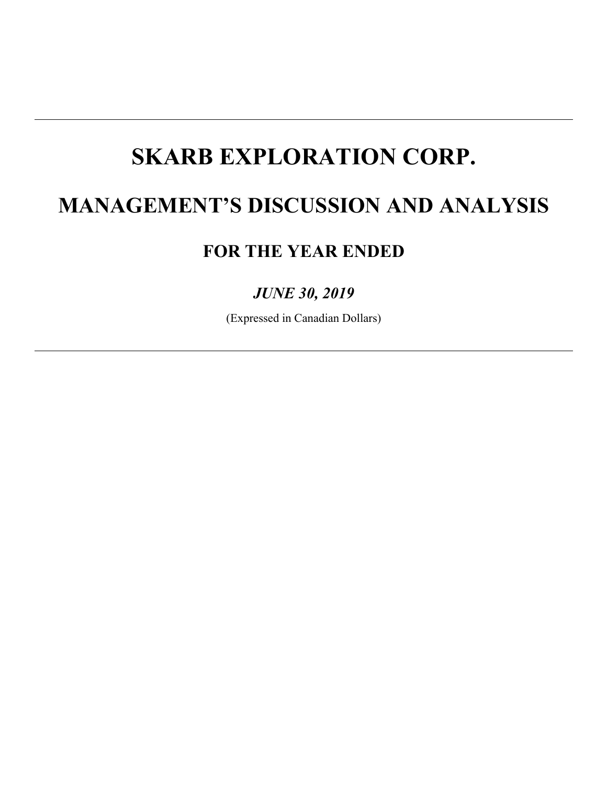# **MANAGEMENT'S DISCUSSION AND ANALYSIS**

# **FOR THE YEAR ENDED**

# *JUNE 30, 2019*

(Expressed in Canadian Dollars)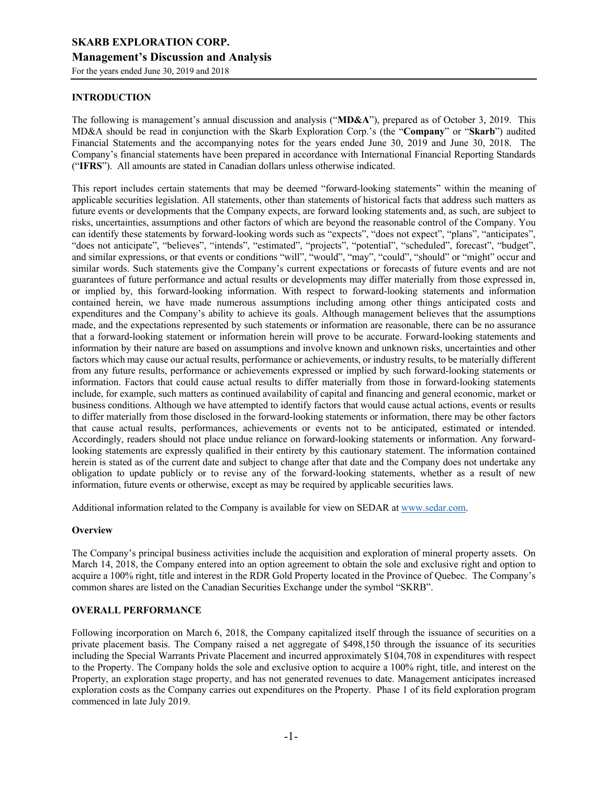For the years ended June 30, 2019 and 2018

# **INTRODUCTION**

The following is management's annual discussion and analysis ("**MD&A**"), prepared as of October 3, 2019. This MD&A should be read in conjunction with the Skarb Exploration Corp.'s (the "**Company**" or "**Skarb**") audited Financial Statements and the accompanying notes for the years ended June 30, 2019 and June 30, 2018. The Company's financial statements have been prepared in accordance with International Financial Reporting Standards ("**IFRS**"). All amounts are stated in Canadian dollars unless otherwise indicated.

This report includes certain statements that may be deemed "forward-looking statements" within the meaning of applicable securities legislation. All statements, other than statements of historical facts that address such matters as future events or developments that the Company expects, are forward looking statements and, as such, are subject to risks, uncertainties, assumptions and other factors of which are beyond the reasonable control of the Company. You can identify these statements by forward-looking words such as "expects", "does not expect", "plans", "anticipates", "does not anticipate", "believes", "intends", "estimated", "projects", "potential", "scheduled", forecast", "budget", and similar expressions, or that events or conditions "will", "would", "may", "could", "should" or "might" occur and similar words. Such statements give the Company's current expectations or forecasts of future events and are not guarantees of future performance and actual results or developments may differ materially from those expressed in, or implied by, this forward-looking information. With respect to forward-looking statements and information contained herein, we have made numerous assumptions including among other things anticipated costs and expenditures and the Company's ability to achieve its goals. Although management believes that the assumptions made, and the expectations represented by such statements or information are reasonable, there can be no assurance that a forward-looking statement or information herein will prove to be accurate. Forward-looking statements and information by their nature are based on assumptions and involve known and unknown risks, uncertainties and other factors which may cause our actual results, performance or achievements, or industry results, to be materially different from any future results, performance or achievements expressed or implied by such forward-looking statements or information. Factors that could cause actual results to differ materially from those in forward-looking statements include, for example, such matters as continued availability of capital and financing and general economic, market or business conditions. Although we have attempted to identify factors that would cause actual actions, events or results to differ materially from those disclosed in the forward-looking statements or information, there may be other factors that cause actual results, performances, achievements or events not to be anticipated, estimated or intended. Accordingly, readers should not place undue reliance on forward-looking statements or information. Any forwardlooking statements are expressly qualified in their entirety by this cautionary statement. The information contained herein is stated as of the current date and subject to change after that date and the Company does not undertake any obligation to update publicly or to revise any of the forward-looking statements, whether as a result of new information, future events or otherwise, except as may be required by applicable securities laws.

Additional information related to the Company is available for view on SEDAR at www.sedar.com.

# **Overview**

The Company's principal business activities include the acquisition and exploration of mineral property assets. On March 14, 2018, the Company entered into an option agreement to obtain the sole and exclusive right and option to acquire a 100% right, title and interest in the RDR Gold Property located in the Province of Quebec. The Company's common shares are listed on the Canadian Securities Exchange under the symbol "SKRB".

# **OVERALL PERFORMANCE**

Following incorporation on March 6, 2018, the Company capitalized itself through the issuance of securities on a private placement basis. The Company raised a net aggregate of \$498,150 through the issuance of its securities including the Special Warrants Private Placement and incurred approximately \$104,708 in expenditures with respect to the Property. The Company holds the sole and exclusive option to acquire a 100% right, title, and interest on the Property, an exploration stage property, and has not generated revenues to date. Management anticipates increased exploration costs as the Company carries out expenditures on the Property. Phase 1 of its field exploration program commenced in late July 2019.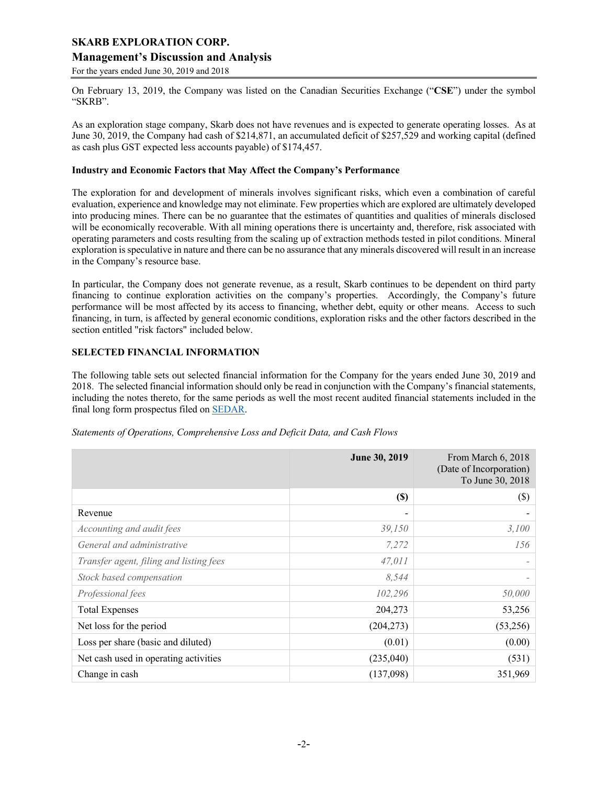# **Management's Discussion and Analysis**

For the years ended June 30, 2019 and 2018

On February 13, 2019, the Company was listed on the Canadian Securities Exchange ("**CSE**") under the symbol "SKRB".

As an exploration stage company, Skarb does not have revenues and is expected to generate operating losses. As at June 30, 2019, the Company had cash of \$214,871, an accumulated deficit of \$257,529 and working capital (defined as cash plus GST expected less accounts payable) of \$174,457.

#### **Industry and Economic Factors that May Affect the Company's Performance**

The exploration for and development of minerals involves significant risks, which even a combination of careful evaluation, experience and knowledge may not eliminate. Few properties which are explored are ultimately developed into producing mines. There can be no guarantee that the estimates of quantities and qualities of minerals disclosed will be economically recoverable. With all mining operations there is uncertainty and, therefore, risk associated with operating parameters and costs resulting from the scaling up of extraction methods tested in pilot conditions. Mineral exploration is speculative in nature and there can be no assurance that any minerals discovered will result in an increase in the Company's resource base.

In particular, the Company does not generate revenue, as a result, Skarb continues to be dependent on third party financing to continue exploration activities on the company's properties. Accordingly, the Company's future performance will be most affected by its access to financing, whether debt, equity or other means. Access to such financing, in turn, is affected by general economic conditions, exploration risks and the other factors described in the section entitled "risk factors" included below.

# **SELECTED FINANCIAL INFORMATION**

The following table sets out selected financial information for the Company for the years ended June 30, 2019 and 2018. The selected financial information should only be read in conjunction with the Company's financial statements, including the notes thereto, for the same periods as well the most recent audited financial statements included in the final long form prospectus filed on SEDAR.

|                                         | June 30, 2019 | From March 6, 2018<br>(Date of Incorporation)<br>To June 30, 2018 |
|-----------------------------------------|---------------|-------------------------------------------------------------------|
|                                         | $(\$)$        | $(\$\)$                                                           |
| Revenue                                 |               |                                                                   |
| Accounting and audit fees               | 39,150        | 3,100                                                             |
| General and administrative              | 7,272         | 156                                                               |
| Transfer agent, filing and listing fees | 47,011        | $\overline{\phantom{0}}$                                          |
| Stock based compensation                | 8,544         |                                                                   |
| Professional fees                       | 102,296       | 50,000                                                            |
| <b>Total Expenses</b>                   | 204,273       | 53,256                                                            |
| Net loss for the period                 | (204, 273)    | (53,256)                                                          |
| Loss per share (basic and diluted)      | (0.01)        | (0.00)                                                            |
| Net cash used in operating activities   | (235,040)     | (531)                                                             |
| Change in cash                          | (137,098)     | 351,969                                                           |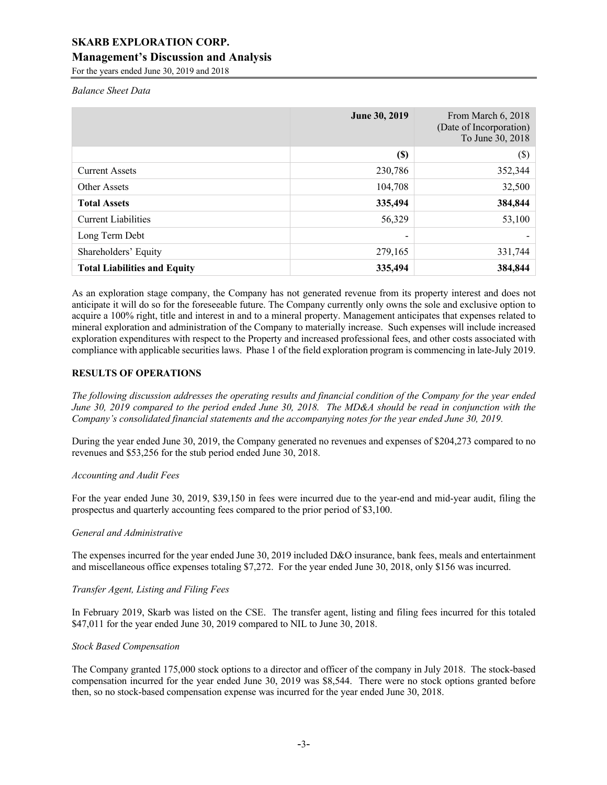# **Management's Discussion and Analysis**

For the years ended June 30, 2019 and 2018

*Balance Sheet Data*

|                                     | June 30, 2019            | From March 6, 2018<br>(Date of Incorporation)<br>To June 30, 2018 |
|-------------------------------------|--------------------------|-------------------------------------------------------------------|
|                                     | <b>(\$)</b>              | $(\$)$                                                            |
| <b>Current Assets</b>               | 230,786                  | 352,344                                                           |
| Other Assets                        | 104,708                  | 32,500                                                            |
| <b>Total Assets</b>                 | 335,494                  | 384,844                                                           |
| <b>Current Liabilities</b>          | 56,329                   | 53,100                                                            |
| Long Term Debt                      | $\overline{\phantom{0}}$ |                                                                   |
| Shareholders' Equity                | 279,165                  | 331,744                                                           |
| <b>Total Liabilities and Equity</b> | 335,494                  | 384,844                                                           |

As an exploration stage company, the Company has not generated revenue from its property interest and does not anticipate it will do so for the foreseeable future. The Company currently only owns the sole and exclusive option to acquire a 100% right, title and interest in and to a mineral property. Management anticipates that expenses related to mineral exploration and administration of the Company to materially increase. Such expenses will include increased exploration expenditures with respect to the Property and increased professional fees, and other costs associated with compliance with applicable securities laws. Phase 1 of the field exploration program is commencing in late-July 2019.

# **RESULTS OF OPERATIONS**

*The following discussion addresses the operating results and financial condition of the Company for the year ended June 30, 2019 compared to the period ended June 30, 2018. The MD&A should be read in conjunction with the Company's consolidated financial statements and the accompanying notes for the year ended June 30, 2019.*

During the year ended June 30, 2019, the Company generated no revenues and expenses of \$204,273 compared to no revenues and \$53,256 for the stub period ended June 30, 2018.

# *Accounting and Audit Fees*

For the year ended June 30, 2019, \$39,150 in fees were incurred due to the year-end and mid-year audit, filing the prospectus and quarterly accounting fees compared to the prior period of \$3,100.

# *General and Administrative*

The expenses incurred for the year ended June 30, 2019 included D&O insurance, bank fees, meals and entertainment and miscellaneous office expenses totaling \$7,272. For the year ended June 30, 2018, only \$156 was incurred.

# *Transfer Agent, Listing and Filing Fees*

In February 2019, Skarb was listed on the CSE. The transfer agent, listing and filing fees incurred for this totaled \$47,011 for the year ended June 30, 2019 compared to NIL to June 30, 2018.

#### *Stock Based Compensation*

The Company granted 175,000 stock options to a director and officer of the company in July 2018. The stock-based compensation incurred for the year ended June 30, 2019 was \$8,544. There were no stock options granted before then, so no stock-based compensation expense was incurred for the year ended June 30, 2018.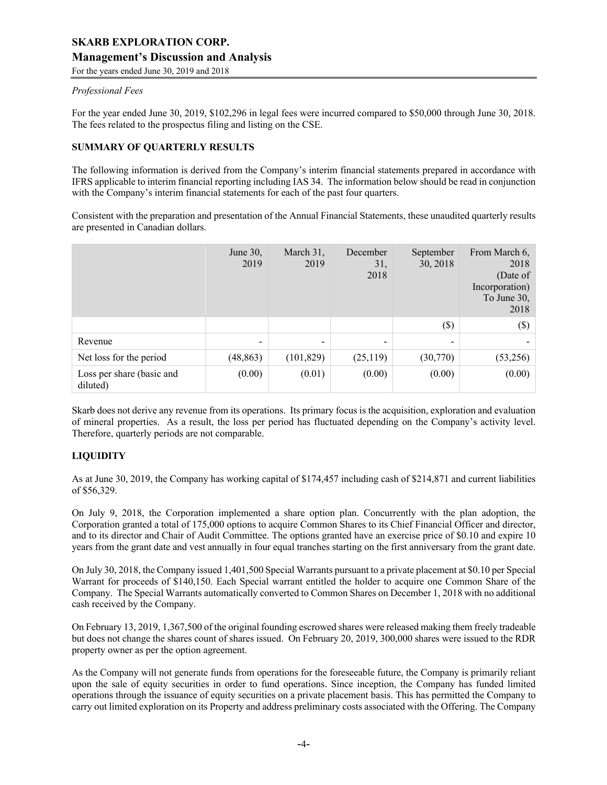For the years ended June 30, 2019 and 2018

#### *Professional Fees*

For the year ended June 30, 2019, \$102,296 in legal fees were incurred compared to \$50,000 through June 30, 2018. The fees related to the prospectus filing and listing on the CSE.

# **SUMMARY OF QUARTERLY RESULTS**

The following information is derived from the Company's interim financial statements prepared in accordance with IFRS applicable to interim financial reporting including IAS 34. The information below should be read in conjunction with the Company's interim financial statements for each of the past four quarters.

Consistent with the preparation and presentation of the Annual Financial Statements, these unaudited quarterly results are presented in Canadian dollars.

|                                       | June $30$ ,<br>2019 | March 31,<br>2019 | December<br>31,<br>2018 | September<br>30, 2018 | From March 6,<br>2018<br>(Date of<br>Incorporation)<br>To June 30,<br>2018 |
|---------------------------------------|---------------------|-------------------|-------------------------|-----------------------|----------------------------------------------------------------------------|
|                                       |                     |                   |                         | $(\$)$                | $(\$\)$                                                                    |
| Revenue                               | -                   | -                 | -                       |                       |                                                                            |
| Net loss for the period               | (48, 863)           | (101, 829)        | (25, 119)               | (30,770)              | (53,256)                                                                   |
| Loss per share (basic and<br>diluted) | (0.00)              | (0.01)            | (0.00)                  | (0.00)                | (0.00)                                                                     |

Skarb does not derive any revenue from its operations. Its primary focus is the acquisition, exploration and evaluation of mineral properties. As a result, the loss per period has fluctuated depending on the Company's activity level. Therefore, quarterly periods are not comparable.

# **LIQUIDITY**

As at June 30, 2019, the Company has working capital of \$174,457 including cash of \$214,871 and current liabilities of \$56,329.

On July 9, 2018, the Corporation implemented a share option plan. Concurrently with the plan adoption, the Corporation granted a total of 175,000 options to acquire Common Shares to its Chief Financial Officer and director, and to its director and Chair of Audit Committee. The options granted have an exercise price of \$0.10 and expire 10 years from the grant date and vest annually in four equal tranches starting on the first anniversary from the grant date.

On July 30, 2018, the Company issued 1,401,500 Special Warrants pursuant to a private placement at \$0.10 per Special Warrant for proceeds of \$140,150. Each Special warrant entitled the holder to acquire one Common Share of the Company. The Special Warrants automatically converted to Common Shares on December 1, 2018 with no additional cash received by the Company.

On February 13, 2019, 1,367,500 of the original founding escrowed shares were released making them freely tradeable but does not change the shares count of shares issued. On February 20, 2019, 300,000 shares were issued to the RDR property owner as per the option agreement.

As the Company will not generate funds from operations for the foreseeable future, the Company is primarily reliant upon the sale of equity securities in order to fund operations. Since inception, the Company has funded limited operations through the issuance of equity securities on a private placement basis. This has permitted the Company to carry out limited exploration on its Property and address preliminary costs associated with the Offering. The Company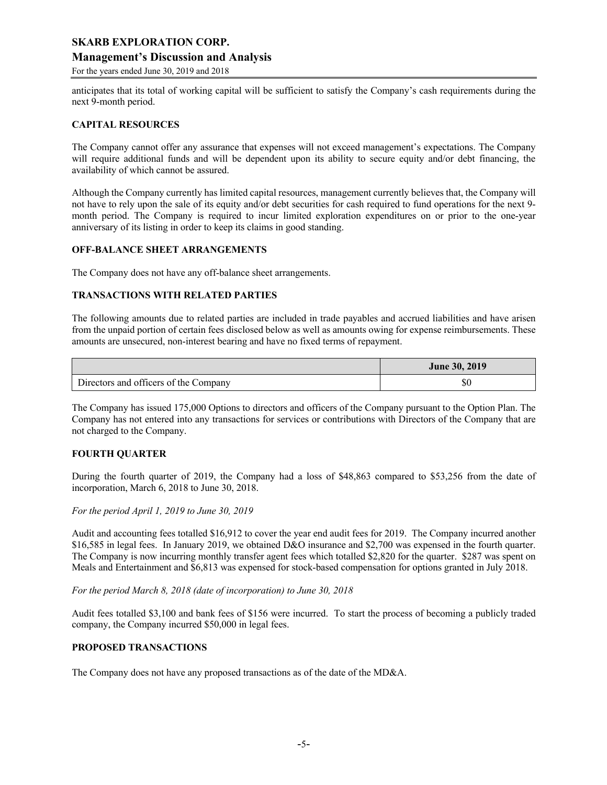# **Management's Discussion and Analysis**

For the years ended June 30, 2019 and 2018

anticipates that its total of working capital will be sufficient to satisfy the Company's cash requirements during the next 9-month period.

#### **CAPITAL RESOURCES**

The Company cannot offer any assurance that expenses will not exceed management's expectations. The Company will require additional funds and will be dependent upon its ability to secure equity and/or debt financing, the availability of which cannot be assured.

Although the Company currently has limited capital resources, management currently believes that, the Company will not have to rely upon the sale of its equity and/or debt securities for cash required to fund operations for the next 9 month period. The Company is required to incur limited exploration expenditures on or prior to the one-year anniversary of its listing in order to keep its claims in good standing.

#### **OFF-BALANCE SHEET ARRANGEMENTS**

The Company does not have any off-balance sheet arrangements.

#### **TRANSACTIONS WITH RELATED PARTIES**

The following amounts due to related parties are included in trade payables and accrued liabilities and have arisen from the unpaid portion of certain fees disclosed below as well as amounts owing for expense reimbursements. These amounts are unsecured, non-interest bearing and have no fixed terms of repayment.

|                                       | June 30, 2019 |
|---------------------------------------|---------------|
| Directors and officers of the Company | ъu            |

The Company has issued 175,000 Options to directors and officers of the Company pursuant to the Option Plan. The Company has not entered into any transactions for services or contributions with Directors of the Company that are not charged to the Company.

# **FOURTH QUARTER**

During the fourth quarter of 2019, the Company had a loss of \$48,863 compared to \$53,256 from the date of incorporation, March 6, 2018 to June 30, 2018.

*For the period April 1, 2019 to June 30, 2019* 

Audit and accounting fees totalled \$16,912 to cover the year end audit fees for 2019. The Company incurred another \$16,585 in legal fees. In January 2019, we obtained D&O insurance and \$2,700 was expensed in the fourth quarter. The Company is now incurring monthly transfer agent fees which totalled \$2,820 for the quarter. \$287 was spent on Meals and Entertainment and \$6,813 was expensed for stock-based compensation for options granted in July 2018.

*For the period March 8, 2018 (date of incorporation) to June 30, 2018*

Audit fees totalled \$3,100 and bank fees of \$156 were incurred. To start the process of becoming a publicly traded company, the Company incurred \$50,000 in legal fees.

#### **PROPOSED TRANSACTIONS**

The Company does not have any proposed transactions as of the date of the MD&A.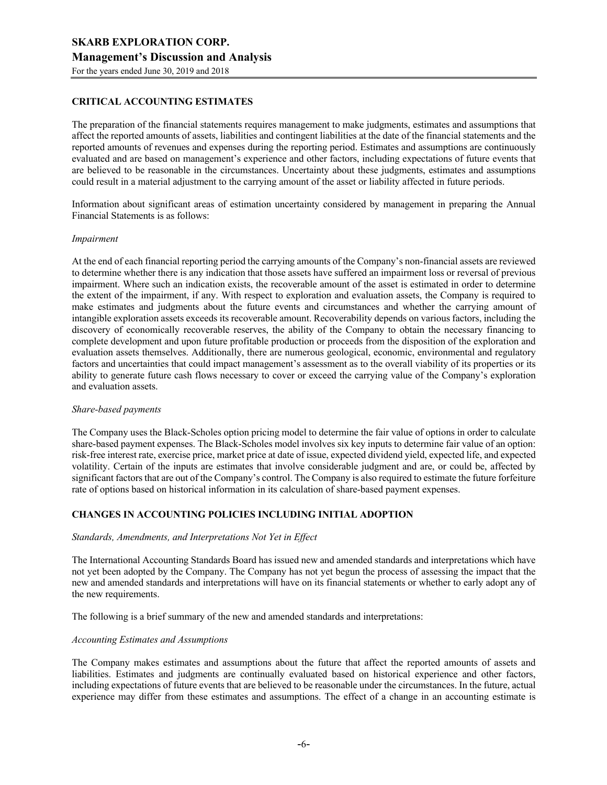# **CRITICAL ACCOUNTING ESTIMATES**

The preparation of the financial statements requires management to make judgments, estimates and assumptions that affect the reported amounts of assets, liabilities and contingent liabilities at the date of the financial statements and the reported amounts of revenues and expenses during the reporting period. Estimates and assumptions are continuously evaluated and are based on management's experience and other factors, including expectations of future events that are believed to be reasonable in the circumstances. Uncertainty about these judgments, estimates and assumptions could result in a material adjustment to the carrying amount of the asset or liability affected in future periods.

Information about significant areas of estimation uncertainty considered by management in preparing the Annual Financial Statements is as follows:

#### *Impairment*

At the end of each financial reporting period the carrying amounts of the Company's non-financial assets are reviewed to determine whether there is any indication that those assets have suffered an impairment loss or reversal of previous impairment. Where such an indication exists, the recoverable amount of the asset is estimated in order to determine the extent of the impairment, if any. With respect to exploration and evaluation assets, the Company is required to make estimates and judgments about the future events and circumstances and whether the carrying amount of intangible exploration assets exceeds its recoverable amount. Recoverability depends on various factors, including the discovery of economically recoverable reserves, the ability of the Company to obtain the necessary financing to complete development and upon future profitable production or proceeds from the disposition of the exploration and evaluation assets themselves. Additionally, there are numerous geological, economic, environmental and regulatory factors and uncertainties that could impact management's assessment as to the overall viability of its properties or its ability to generate future cash flows necessary to cover or exceed the carrying value of the Company's exploration and evaluation assets.

# *Share-based payments*

The Company uses the Black-Scholes option pricing model to determine the fair value of options in order to calculate share-based payment expenses. The Black-Scholes model involves six key inputs to determine fair value of an option: risk-free interest rate, exercise price, market price at date of issue, expected dividend yield, expected life, and expected volatility. Certain of the inputs are estimates that involve considerable judgment and are, or could be, affected by significant factors that are out of the Company's control. The Company is also required to estimate the future forfeiture rate of options based on historical information in its calculation of share-based payment expenses.

# **CHANGES IN ACCOUNTING POLICIES INCLUDING INITIAL ADOPTION**

#### *Standards, Amendments, and Interpretations Not Yet in Effect*

The International Accounting Standards Board has issued new and amended standards and interpretations which have not yet been adopted by the Company. The Company has not yet begun the process of assessing the impact that the new and amended standards and interpretations will have on its financial statements or whether to early adopt any of the new requirements.

The following is a brief summary of the new and amended standards and interpretations:

#### *Accounting Estimates and Assumptions*

The Company makes estimates and assumptions about the future that affect the reported amounts of assets and liabilities. Estimates and judgments are continually evaluated based on historical experience and other factors, including expectations of future events that are believed to be reasonable under the circumstances. In the future, actual experience may differ from these estimates and assumptions. The effect of a change in an accounting estimate is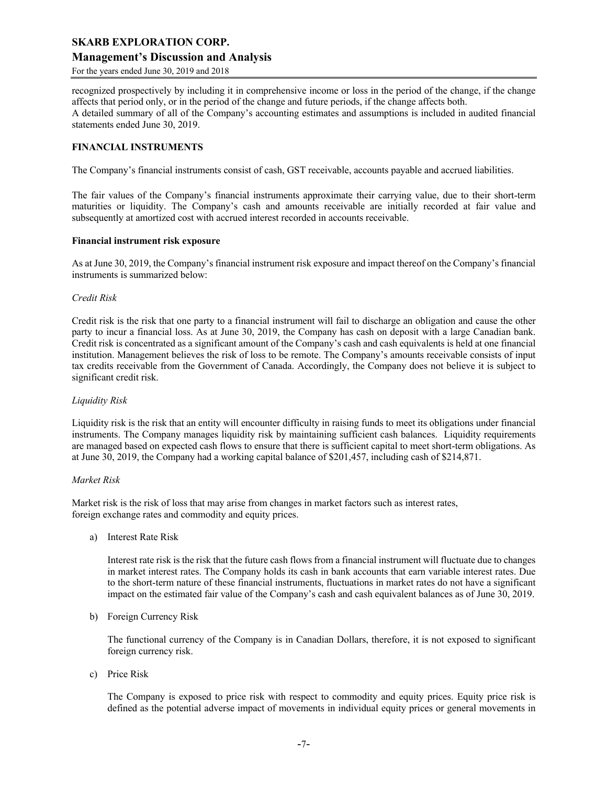# **Management's Discussion and Analysis**

For the years ended June 30, 2019 and 2018

recognized prospectively by including it in comprehensive income or loss in the period of the change, if the change affects that period only, or in the period of the change and future periods, if the change affects both. A detailed summary of all of the Company's accounting estimates and assumptions is included in audited financial

statements ended June 30, 2019.

#### **FINANCIAL INSTRUMENTS**

The Company's financial instruments consist of cash, GST receivable, accounts payable and accrued liabilities.

The fair values of the Company's financial instruments approximate their carrying value, due to their short-term maturities or liquidity. The Company's cash and amounts receivable are initially recorded at fair value and subsequently at amortized cost with accrued interest recorded in accounts receivable.

#### **Financial instrument risk exposure**

As at June 30, 2019, the Company's financial instrument risk exposure and impact thereof on the Company's financial instruments is summarized below:

#### *Credit Risk*

Credit risk is the risk that one party to a financial instrument will fail to discharge an obligation and cause the other party to incur a financial loss. As at June 30, 2019, the Company has cash on deposit with a large Canadian bank. Credit risk is concentrated as a significant amount of the Company's cash and cash equivalents is held at one financial institution. Management believes the risk of loss to be remote. The Company's amounts receivable consists of input tax credits receivable from the Government of Canada. Accordingly, the Company does not believe it is subject to significant credit risk.

#### *Liquidity Risk*

Liquidity risk is the risk that an entity will encounter difficulty in raising funds to meet its obligations under financial instruments. The Company manages liquidity risk by maintaining sufficient cash balances. Liquidity requirements are managed based on expected cash flows to ensure that there is sufficient capital to meet short-term obligations. As at June 30, 2019, the Company had a working capital balance of \$201,457, including cash of \$214,871.

#### *Market Risk*

Market risk is the risk of loss that may arise from changes in market factors such as interest rates, foreign exchange rates and commodity and equity prices.

a) Interest Rate Risk

Interest rate risk is the risk that the future cash flows from a financial instrument will fluctuate due to changes in market interest rates. The Company holds its cash in bank accounts that earn variable interest rates. Due to the short-term nature of these financial instruments, fluctuations in market rates do not have a significant impact on the estimated fair value of the Company's cash and cash equivalent balances as of June 30, 2019.

b) Foreign Currency Risk

The functional currency of the Company is in Canadian Dollars, therefore, it is not exposed to significant foreign currency risk.

c) Price Risk

The Company is exposed to price risk with respect to commodity and equity prices. Equity price risk is defined as the potential adverse impact of movements in individual equity prices or general movements in